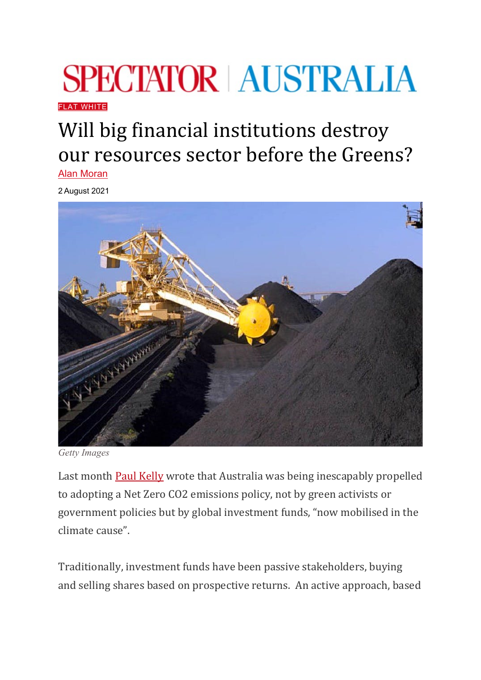## **SPECTATOR AUSTRALIA**

**FI AT WHITE** 

## Will big financial institutions destroy our resources sector before the Greens?

[Alan Moran](https://www.spectator.com.au/author/alanmoran/)

2 August 2021



*Getty Images*

Last month [Paul Kelly](https://www.theaustralian.com.au/commentary/finance-power-will-drive-pm-to-net-zero/news-story/84d1a1e999865dc3570ef0821c3ba626) wrote that Australia was being inescapably propelled to adopting a Net Zero CO2 emissions policy, not by green activists or government policies but by global investment funds, "now mobilised in the climate cause".

Traditionally, investment funds have been passive stakeholders, buying and selling shares based on prospective returns. An active approach, based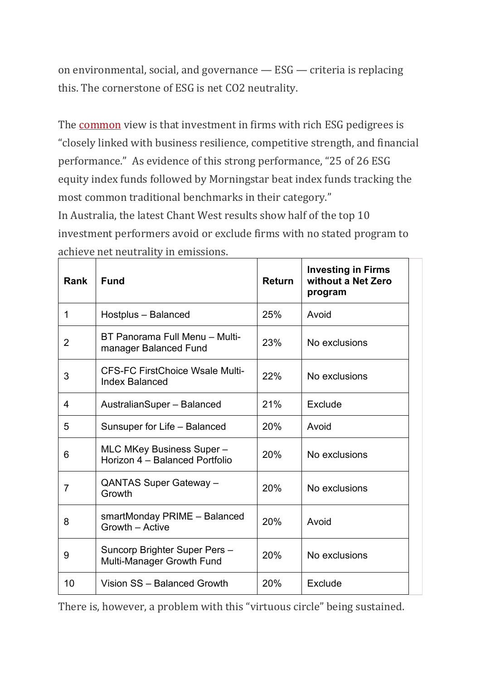on environmental, social, and governance — ESG — criteria is replacing this. The cornerstone of ESG is net CO2 neutrality.

The **[common](https://corpgov.law.harvard.edu/2021/05/29/shareholder-activism-and-esg-what-comes-next-and-how-to-prepare/)** view is that investment in firms with rich ESG pedigrees is "closely linked with business resilience, competitive strength, and financial performance." As evidence of this strong performance, "25 of 26 ESG equity index funds followed by Morningstar beat index funds tracking the most common traditional benchmarks in their category." In Australia, the latest Chant West results show half of the top 10

investment performers avoid or exclude firms with no stated program to achieve net neutrality in emissions.

| Rank        | <b>Fund</b>                                                     | <b>Return</b> | <b>Investing in Firms</b><br>without a Net Zero<br>program |
|-------------|-----------------------------------------------------------------|---------------|------------------------------------------------------------|
| $\mathbf 1$ | Hostplus - Balanced                                             | 25%           | Avoid                                                      |
| 2           | BT Panorama Full Menu - Multi-<br>manager Balanced Fund         | 23%           | No exclusions                                              |
| 3           | <b>CFS-FC FirstChoice Wsale Multi-</b><br><b>Index Balanced</b> | 22%           | No exclusions                                              |
| 4           | AustralianSuper - Balanced                                      | 21%           | Exclude                                                    |
| 5           | Sunsuper for Life - Balanced                                    | 20%           | Avoid                                                      |
| 6           | MLC MKey Business Super -<br>Horizon 4 - Balanced Portfolio     | 20%           | No exclusions                                              |
| 7           | QANTAS Super Gateway -<br>Growth                                | 20%           | No exclusions                                              |
| 8           | smartMonday PRIME - Balanced<br>Growth - Active                 | 20%           | Avoid                                                      |
| 9           | Suncorp Brighter Super Pers -<br>Multi-Manager Growth Fund      | 20%           | No exclusions                                              |
| 10          | Vision SS - Balanced Growth                                     | 20%           | Exclude                                                    |

There is, however, a problem with this "virtuous circle" being sustained.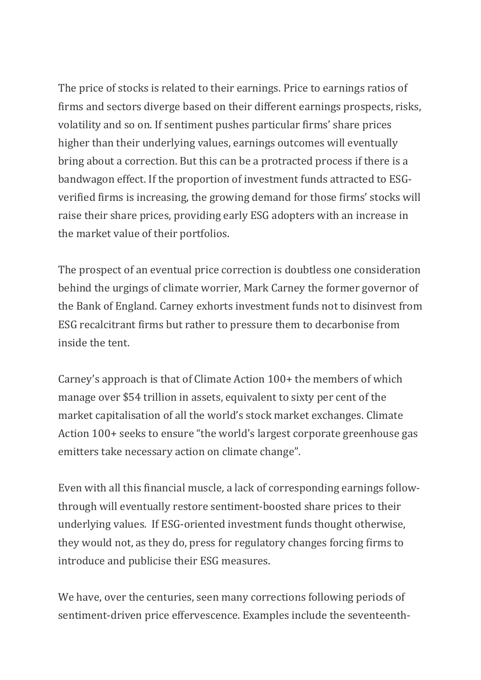The price of stocks is related to their earnings. Price to earnings ratios of firms and sectors diverge based on their different earnings prospects, risks, volatility and so on. If sentiment pushes particular firms' share prices higher than their underlying values, earnings outcomes will eventually bring about a correction. But this can be a protracted process if there is a bandwagon effect. If the proportion of investment funds attracted to ESGverified firms is increasing, the growing demand for those firms' stocks will raise their share prices, providing early ESG adopters with an increase in the market value of their portfolios.

The prospect of an eventual price correction is doubtless one consideration behind the urgings of climate worrier, Mark Carney the former governor of the Bank of England. Carney exhorts investment funds not to disinvest from ESG recalcitrant firms but rather to pressure them to decarbonise from inside the tent.

Carney's approach is that of Climate Action 100+ the members of which manage over \$54 trillion in assets, equivalent to sixty per cent of the market capitalisation of all the world's stock market exchanges. Climate Action 100+ seeks to ensure "the world's largest corporate greenhouse gas emitters take necessary action on climate change".

Even with all this financial muscle, a lack of corresponding earnings followthrough will eventually restore sentiment-boosted share prices to their underlying values. If ESG-oriented investment funds thought otherwise, they would not, as they do, press for regulatory changes forcing firms to introduce and publicise their ESG measures.

We have, over the centuries, seen many corrections following periods of sentiment-driven price effervescence. Examples include the seventeenth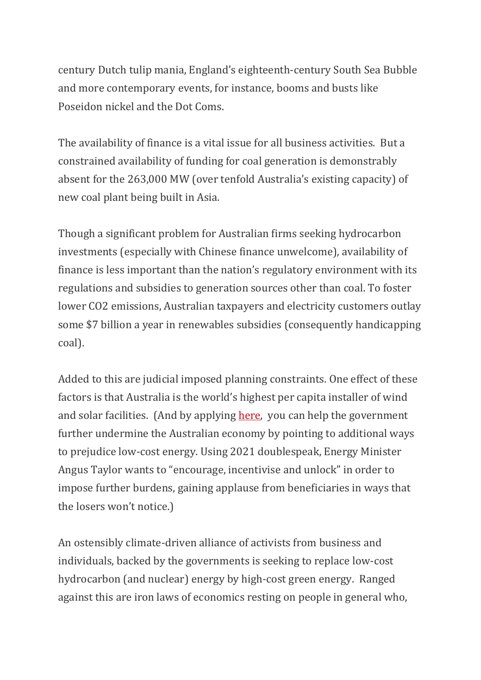century Dutch tulip mania, England's eighteenth-century South Sea Bubble and more contemporary events, for instance, booms and busts like Poseidon nickel and the Dot Coms.

The availability of finance is a vital issue for all business activities. But a constrained availability of funding for coal generation is demonstrably absent for the 263,000 MW (over tenfold Australia's existing capacity) of new coal plant being built in Asia.

Though a significant problem for Australian firms seeking hydrocarbon investments (especially with Chinese finance unwelcome), availability of finance is less important than the nation's regulatory environment with its regulations and subsidies to generation sources other than coal. To foster lower CO2 emissions, Australian taxpayers and electricity customers outlay some \$7 billion a year in renewables subsidies (consequently handicapping coal).

Added to this are judicial imposed planning constraints. One effect of these factors is that Australia is the world's highest per capita installer of wind and solar facilities. (And by applying [here,](https://consult.industry.gov.au/climate-change/erf-method-development-priorities-for-2022/) you can help the government further undermine the Australian economy by pointing to additional ways to prejudice low-cost energy. Using 2021 doublespeak, Energy Minister Angus Taylor wants to "encourage, incentivise and unlock" in order to impose further burdens, gaining applause from beneficiaries in ways that the losers won't notice.)

An ostensibly climate-driven alliance of activists from business and individuals, backed by the governments is seeking to replace low-cost hydrocarbon (and nuclear) energy by high-cost green energy. Ranged against this are iron laws of economics resting on people in general who,